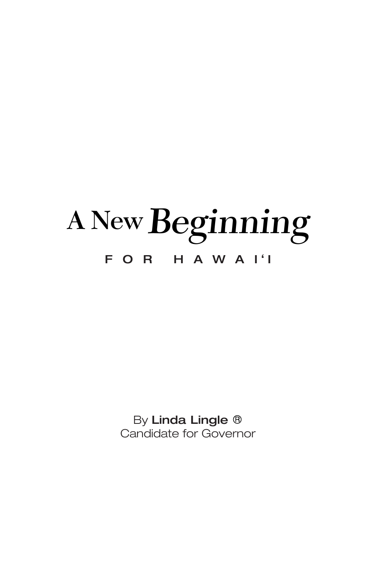# **A NewBeginning** FOR HAWAI'I

By Linda Lingle ® Candidate for Governor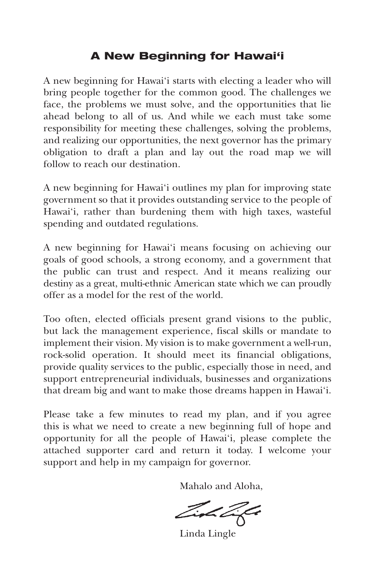# **A New Beginning for Hawai'i**

A new beginning for Hawai'i starts with electing a leader who will bring people together for the common good. The challenges we face, the problems we must solve, and the opportunities that lie ahead belong to all of us. And while we each must take some responsibility for meeting these challenges, solving the problems, and realizing our opportunities, the next governor has the primary obligation to draft a plan and lay out the road map we will follow to reach our destination.

A new beginning for Hawai'i outlines my plan for improving state government so that it provides outstanding service to the people of Hawai'i, rather than burdening them with high taxes, wasteful spending and outdated regulations.

A new beginning for Hawai'i means focusing on achieving our goals of good schools, a strong economy, and a government that the public can trust and respect. And it means realizing our destiny as a great, multi-ethnic American state which we can proudly offer as a model for the rest of the world.

Too often, elected officials present grand visions to the public, but lack the management experience, fiscal skills or mandate to implement their vision. My vision is to make government a well-run, rock-solid operation. It should meet its financial obligations, provide quality services to the public, especially those in need, and support entrepreneurial individuals, businesses and organizations that dream big and want to make those dreams happen in Hawai'i.

Please take a few minutes to read my plan, and if you agree this is what we need to create a new beginning full of hope and opportunity for all the people of Hawai'i, please complete the attached supporter card and return it today. I welcome your support and help in my campaign for governor.

Mahalo and Aloha,

Zioh Zifa

Linda Lingle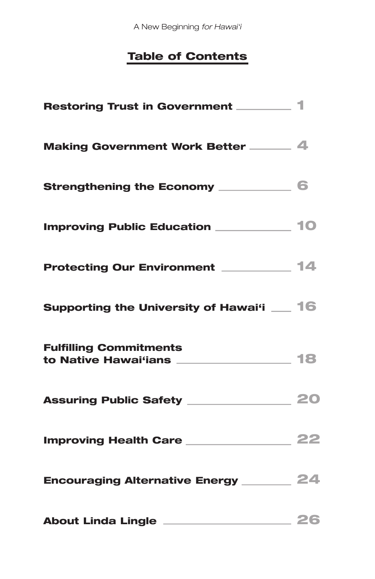A New Beginning *for Hawai'i*

# **Table of Contents**

| Restoring Trust in Government _______ 1                                    |  |
|----------------------------------------------------------------------------|--|
| Making Government Work Better ______ 4                                     |  |
| Strengthening the Economy ___________ 6                                    |  |
| <b>Improving Public Education</b> _____________ 10                         |  |
| Protecting Our Environment _________ 14                                    |  |
| Supporting the University of Hawai'i _ 16                                  |  |
| <b>Fulfilling Commitments</b><br>to Native Hawai'ians _________________ 18 |  |
|                                                                            |  |
|                                                                            |  |
| Encouraging Alternative Energy _________ 24                                |  |
| About Linda Lingle <u>____________________</u> 26                          |  |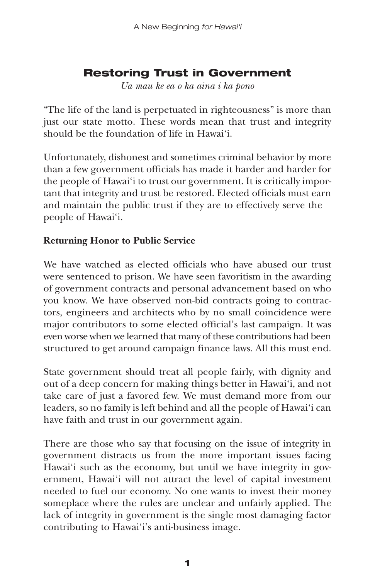# **Restoring Trust in Government**

*Ua mau ke ea o ka aina i ka pono*

"The life of the land is perpetuated in righteousness" is more than just our state motto. These words mean that trust and integrity should be the foundation of life in Hawai'i.

Unfortunately, dishonest and sometimes criminal behavior by more than a few government officials has made it harder and harder for the people of Hawai'i to trust our government. It is critically important that integrity and trust be restored. Elected officials must earn and maintain the public trust if they are to effectively serve the people of Hawai'i.

## **Returning Honor to Public Service**

We have watched as elected officials who have abused our trust were sentenced to prison. We have seen favoritism in the awarding of government contracts and personal advancement based on who you know. We have observed non-bid contracts going to contractors, engineers and architects who by no small coincidence were major contributors to some elected official's last campaign. It was even worse when we learned that many of these contributions had been structured to get around campaign finance laws. All this must end.

State government should treat all people fairly, with dignity and out of a deep concern for making things better in Hawai'i, and not take care of just a favored few. We must demand more from our leaders, so no family is left behind and all the people of Hawai'i can have faith and trust in our government again.

There are those who say that focusing on the issue of integrity in government distracts us from the more important issues facing Hawai'i such as the economy, but until we have integrity in government, Hawai'i will not attract the level of capital investment needed to fuel our economy. No one wants to invest their money someplace where the rules are unclear and unfairly applied. The lack of integrity in government is the single most damaging factor contributing to Hawai'i's anti-business image.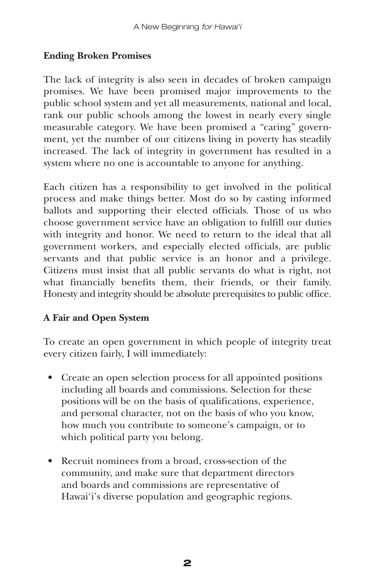## **Ending Broken Promises**

The lack of integrity is also seen in decades of broken campaign promises. We have been promised major improvements to the public school system and yet all measurements, national and local, rank our public schools among the lowest in nearly every single measurable category. We have been promised a "caring" government, yet the number of our citizens living in poverty has steadily increased. The lack of integrity in government has resulted in a system where no one is accountable to anyone for anything.

Each citizen has a responsibility to get involved in the political process and make things better. Most do so by casting informed ballots and supporting their elected officials. Those of us who choose government service have an obligation to fulfill our duties with integrity and honor. We need to return to the ideal that all government workers, and especially elected officials, are public servants and that public service is an honor and a privilege. Citizens must insist that all public servants do what is right, not what financially benefits them, their friends, or their family. Honesty and integrity should be absolute prerequisites to public office.

## **A Fair and Open System**

To create an open government in which people of integrity treat every citizen fairly, I will immediately:

- Create an open selection process for all appointed positions including all boards and commissions. Selection for these positions will be on the basis of qualifications, experience, and personal character, not on the basis of who you know, how much you contribute to someone's campaign, or to which political party you belong.
- Recruit nominees from a broad, cross-section of the community, and make sure that department directors and boards and commissions are representative of Hawai'i's diverse population and geographic regions.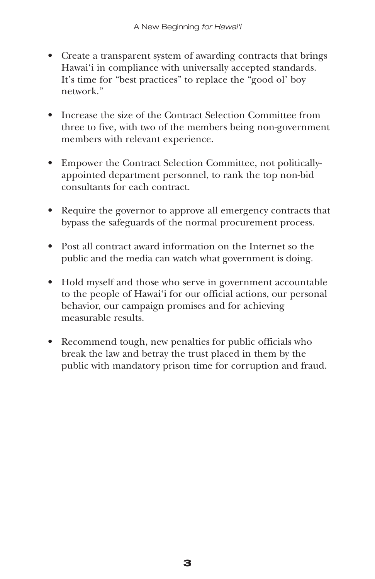- Create a transparent system of awarding contracts that brings Hawai'i in compliance with universally accepted standards. It's time for "best practices" to replace the "good ol' boy network."
- Increase the size of the Contract Selection Committee from three to five, with two of the members being non-government members with relevant experience.
- Empower the Contract Selection Committee, not politicallyappointed department personnel, to rank the top non-bid consultants for each contract.
- Require the governor to approve all emergency contracts that bypass the safeguards of the normal procurement process.
- Post all contract award information on the Internet so the public and the media can watch what government is doing.
- Hold myself and those who serve in government accountable to the people of Hawai'i for our official actions, our personal behavior, our campaign promises and for achieving measurable results.
- Recommend tough, new penalties for public officials who break the law and betray the trust placed in them by the public with mandatory prison time for corruption and fraud.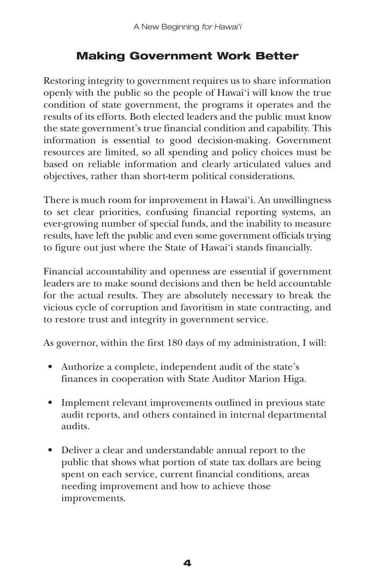# **Making Government Work Better**

Restoring integrity to government requires us to share information openly with the public so the people of Hawai'i will know the true condition of state government, the programs it operates and the results of its efforts. Both elected leaders and the public must know the state government's true financial condition and capability. This information is essential to good decision-making. Government resources are limited, so all spending and policy choices must be based on reliable information and clearly articulated values and objectives, rather than short-term political considerations.

There is much room for improvement in Hawai'i. An unwillingness to set clear priorities, confusing financial reporting systems, an ever-growing number of special funds, and the inability to measure results, have left the public and even some government officials trying to figure out just where the State of Hawai'i stands financially.

Financial accountability and openness are essential if government leaders are to make sound decisions and then be held accountable for the actual results. They are absolutely necessary to break the vicious cycle of corruption and favoritism in state contracting, and to restore trust and integrity in government service.

As governor, within the first 180 days of my administration, I will:

- Authorize a complete, independent audit of the state's finances in cooperation with State Auditor Marion Higa.
- Implement relevant improvements outlined in previous state audit reports, and others contained in internal departmental audits.
- Deliver a clear and understandable annual report to the public that shows what portion of state tax dollars are being spent on each service, current financial conditions, areas needing improvement and how to achieve those improvements.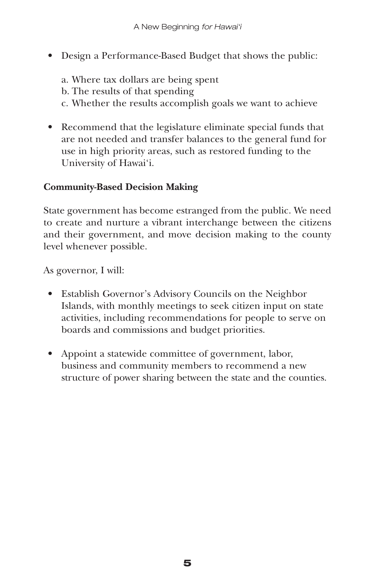• Design a Performance-Based Budget that shows the public:

a. Where tax dollars are being spent b. The results of that spending c. Whether the results accomplish goals we want to achieve

• Recommend that the legislature eliminate special funds that are not needed and transfer balances to the general fund for use in high priority areas, such as restored funding to the University of Hawai'i.

## **Community-Based Decision Making**

State government has become estranged from the public. We need to create and nurture a vibrant interchange between the citizens and their government, and move decision making to the county level whenever possible.

As governor, I will:

- Establish Governor's Advisory Councils on the Neighbor Islands, with monthly meetings to seek citizen input on state activities, including recommendations for people to serve on boards and commissions and budget priorities.
- Appoint a statewide committee of government, labor, business and community members to recommend a new structure of power sharing between the state and the counties.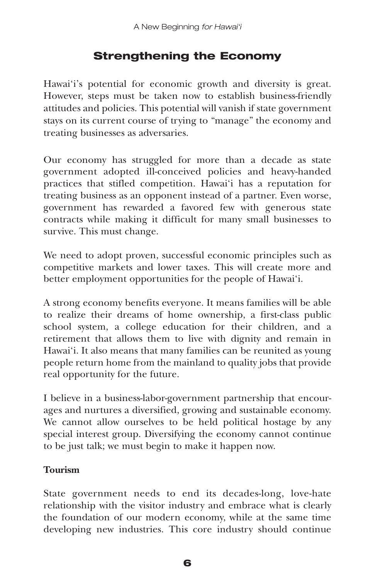# **Strengthening the Economy**

Hawai'i's potential for economic growth and diversity is great. However, steps must be taken now to establish business-friendly attitudes and policies. This potential will vanish if state government stays on its current course of trying to "manage" the economy and treating businesses as adversaries.

Our economy has struggled for more than a decade as state government adopted ill-conceived policies and heavy-handed practices that stifled competition. Hawai'i has a reputation for treating business as an opponent instead of a partner. Even worse, government has rewarded a favored few with generous state contracts while making it difficult for many small businesses to survive. This must change.

We need to adopt proven, successful economic principles such as competitive markets and lower taxes. This will create more and better employment opportunities for the people of Hawai'i.

A strong economy benefits everyone. It means families will be able to realize their dreams of home ownership, a first-class public school system, a college education for their children, and a retirement that allows them to live with dignity and remain in Hawai'i. It also means that many families can be reunited as young people return home from the mainland to quality jobs that provide real opportunity for the future.

I believe in a business-labor-government partnership that encourages and nurtures a diversified, growing and sustainable economy. We cannot allow ourselves to be held political hostage by any special interest group. Diversifying the economy cannot continue to be just talk; we must begin to make it happen now.

## **Tourism**

State government needs to end its decades-long, love-hate relationship with the visitor industry and embrace what is clearly the foundation of our modern economy, while at the same time developing new industries. This core industry should continue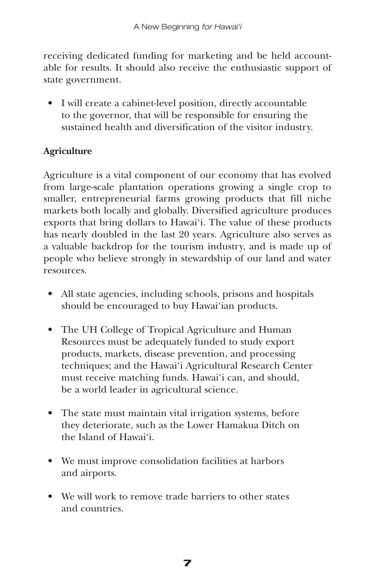receiving dedicated funding for marketing and be held accountable for results. It should also receive the enthusiastic support of state government.

• I will create a cabinet-level position, directly accountable to the governor, that will be responsible for ensuring the sustained health and diversification of the visitor industry.

## **Agriculture**

Agriculture is a vital component of our economy that has evolved from large-scale plantation operations growing a single crop to smaller, entrepreneurial farms growing products that fill niche markets both locally and globally. Diversified agriculture produces exports that bring dollars to Hawai'i. The value of these products has nearly doubled in the last 20 years. Agriculture also serves as a valuable backdrop for the tourism industry, and is made up of people who believe strongly in stewardship of our land and water resources.

- All state agencies, including schools, prisons and hospitals should be encouraged to buy Hawai'ian products.
- The UH College of Tropical Agriculture and Human Resources must be adequately funded to study export products, markets, disease prevention, and processing techniques; and the Hawai'i Agricultural Research Center must receive matching funds. Hawai'i can, and should, be a world leader in agricultural science.
- The state must maintain vital irrigation systems, before they deteriorate, such as the Lower Hamakua Ditch on the Island of Hawai'i.
- We must improve consolidation facilities at harbors and airports.
- We will work to remove trade barriers to other states and countries.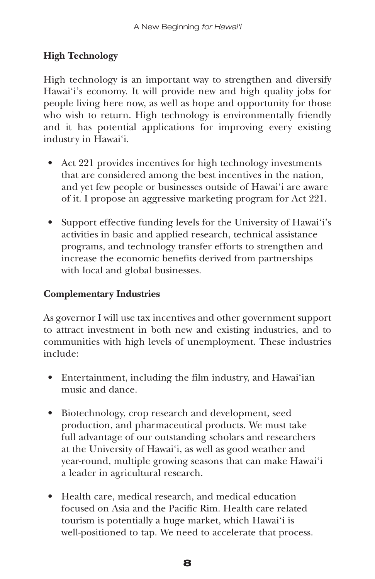## **High Technology**

High technology is an important way to strengthen and diversify Hawai'i's economy. It will provide new and high quality jobs for people living here now, as well as hope and opportunity for those who wish to return. High technology is environmentally friendly and it has potential applications for improving every existing industry in Hawai'i.

- Act 221 provides incentives for high technology investments that are considered among the best incentives in the nation, and yet few people or businesses outside of Hawai'i are aware of it. I propose an aggressive marketing program for Act 221.
- Support effective funding levels for the University of Hawai'i's activities in basic and applied research, technical assistance programs, and technology transfer efforts to strengthen and increase the economic benefits derived from partnerships with local and global businesses.

## **Complementary Industries**

As governor I will use tax incentives and other government support to attract investment in both new and existing industries, and to communities with high levels of unemployment. These industries include:

- Entertainment, including the film industry, and Hawai'ian music and dance.
- Biotechnology, crop research and development, seed production, and pharmaceutical products. We must take full advantage of our outstanding scholars and researchers at the University of Hawai'i, as well as good weather and year-round, multiple growing seasons that can make Hawai'i a leader in agricultural research.
- Health care, medical research, and medical education focused on Asia and the Pacific Rim. Health care related tourism is potentially a huge market, which Hawai'i is well-positioned to tap. We need to accelerate that process.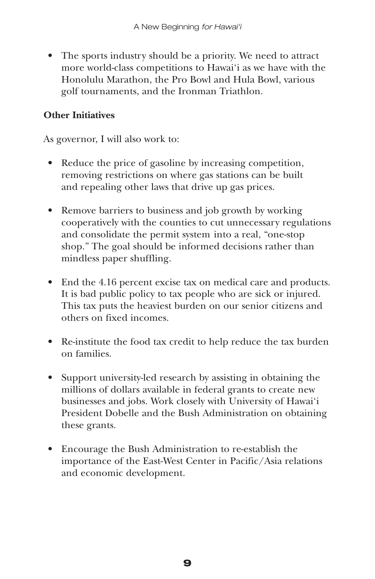• The sports industry should be a priority. We need to attract more world-class competitions to Hawai'i as we have with the Honolulu Marathon, the Pro Bowl and Hula Bowl, various golf tournaments, and the Ironman Triathlon.

## **Other Initiatives**

As governor, I will also work to:

- Reduce the price of gasoline by increasing competition, removing restrictions on where gas stations can be built and repealing other laws that drive up gas prices.
- Remove barriers to business and job growth by working cooperatively with the counties to cut unnecessary regulations and consolidate the permit system into a real, "one-stop shop." The goal should be informed decisions rather than mindless paper shuffling.
- End the 4.16 percent excise tax on medical care and products. It is bad public policy to tax people who are sick or injured. This tax puts the heaviest burden on our senior citizens and others on fixed incomes.
- Re-institute the food tax credit to help reduce the tax burden on families.
- Support university-led research by assisting in obtaining the millions of dollars available in federal grants to create new businesses and jobs. Work closely with University of Hawai'i President Dobelle and the Bush Administration on obtaining these grants.
- Encourage the Bush Administration to re-establish the importance of the East-West Center in Pacific/Asia relations and economic development.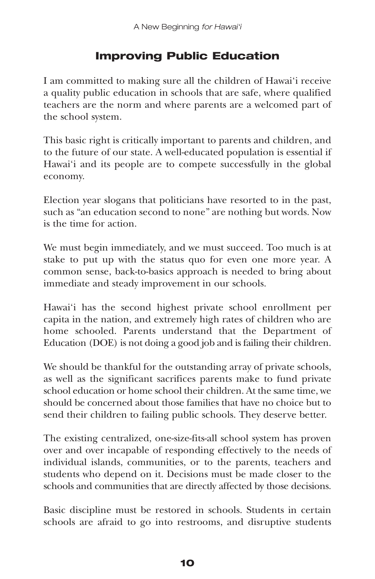# **Improving Public Education**

I am committed to making sure all the children of Hawai'i receive a quality public education in schools that are safe, where qualified teachers are the norm and where parents are a welcomed part of the school system.

This basic right is critically important to parents and children, and to the future of our state. A well-educated population is essential if Hawai'i and its people are to compete successfully in the global economy.

Election year slogans that politicians have resorted to in the past, such as "an education second to none" are nothing but words. Now is the time for action.

We must begin immediately, and we must succeed. Too much is at stake to put up with the status quo for even one more year. A common sense, back-to-basics approach is needed to bring about immediate and steady improvement in our schools.

Hawai'i has the second highest private school enrollment per capita in the nation, and extremely high rates of children who are home schooled. Parents understand that the Department of Education (DOE) is not doing a good job and is failing their children.

We should be thankful for the outstanding array of private schools, as well as the significant sacrifices parents make to fund private school education or home school their children. At the same time, we should be concerned about those families that have no choice but to send their children to failing public schools. They deserve better.

The existing centralized, one-size-fits-all school system has proven over and over incapable of responding effectively to the needs of individual islands, communities, or to the parents, teachers and students who depend on it. Decisions must be made closer to the schools and communities that are directly affected by those decisions.

Basic discipline must be restored in schools. Students in certain schools are afraid to go into restrooms, and disruptive students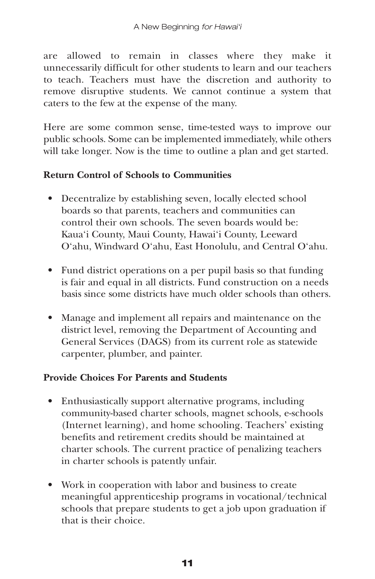are allowed to remain in classes where they make it unnecessarily difficult for other students to learn and our teachers to teach. Teachers must have the discretion and authority to remove disruptive students. We cannot continue a system that caters to the few at the expense of the many.

Here are some common sense, time-tested ways to improve our public schools. Some can be implemented immediately, while others will take longer. Now is the time to outline a plan and get started.

#### **Return Control of Schools to Communities**

- Decentralize by establishing seven, locally elected school boards so that parents, teachers and communities can control their own schools. The seven boards would be: Kaua'i County, Maui County, Hawai'i County, Leeward O'ahu, Windward O'ahu, East Honolulu, and Central O'ahu.
- Fund district operations on a per pupil basis so that funding is fair and equal in all districts. Fund construction on a needs basis since some districts have much older schools than others.
- Manage and implement all repairs and maintenance on the district level, removing the Department of Accounting and General Services (DAGS) from its current role as statewide carpenter, plumber, and painter.

## **Provide Choices For Parents and Students**

- Enthusiastically support alternative programs, including community-based charter schools, magnet schools, e-schools (Internet learning), and home schooling. Teachers' existing benefits and retirement credits should be maintained at charter schools. The current practice of penalizing teachers in charter schools is patently unfair.
- Work in cooperation with labor and business to create meaningful apprenticeship programs in vocational/technical schools that prepare students to get a job upon graduation if that is their choice.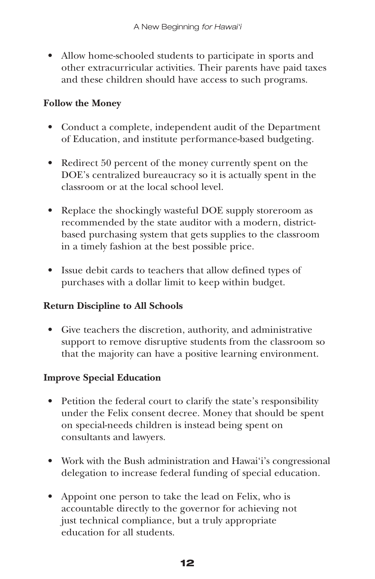• Allow home-schooled students to participate in sports and other extracurricular activities. Their parents have paid taxes and these children should have access to such programs.

## **Follow the Money**

- Conduct a complete, independent audit of the Department of Education, and institute performance-based budgeting.
- Redirect 50 percent of the money currently spent on the DOE's centralized bureaucracy so it is actually spent in the classroom or at the local school level.
- Replace the shockingly wasteful DOE supply storeroom as recommended by the state auditor with a modern, districtbased purchasing system that gets supplies to the classroom in a timely fashion at the best possible price.
- Issue debit cards to teachers that allow defined types of purchases with a dollar limit to keep within budget.

## **Return Discipline to All Schools**

• Give teachers the discretion, authority, and administrative support to remove disruptive students from the classroom so that the majority can have a positive learning environment.

## **Improve Special Education**

- Petition the federal court to clarify the state's responsibility under the Felix consent decree. Money that should be spent on special-needs children is instead being spent on consultants and lawyers.
- Work with the Bush administration and Hawai'i's congressional delegation to increase federal funding of special education.
- Appoint one person to take the lead on Felix, who is accountable directly to the governor for achieving not just technical compliance, but a truly appropriate education for all students.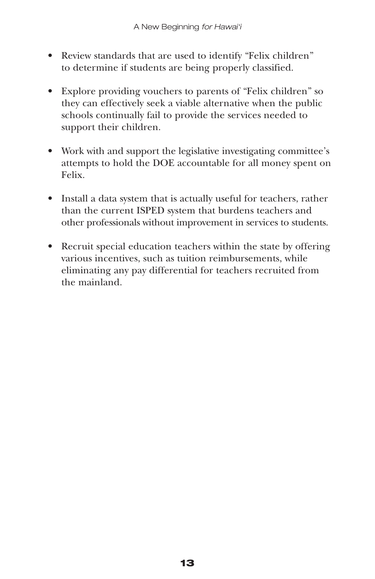- Review standards that are used to identify "Felix children" to determine if students are being properly classified.
- Explore providing vouchers to parents of "Felix children" so they can effectively seek a viable alternative when the public schools continually fail to provide the services needed to support their children.
- Work with and support the legislative investigating committee's attempts to hold the DOE accountable for all money spent on Felix.
- Install a data system that is actually useful for teachers, rather than the current ISPED system that burdens teachers and other professionals without improvement in services to students.
- Recruit special education teachers within the state by offering various incentives, such as tuition reimbursements, while eliminating any pay differential for teachers recruited from the mainland.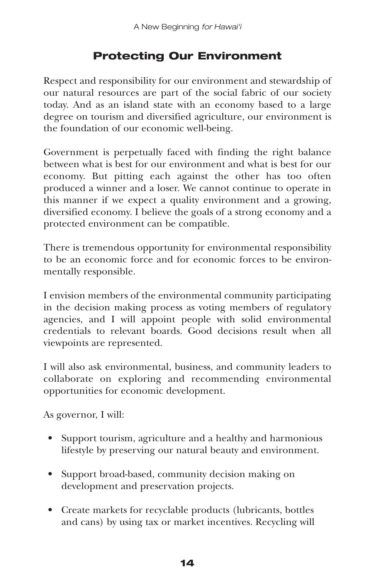# **Protecting Our Environment**

Respect and responsibility for our environment and stewardship of our natural resources are part of the social fabric of our society today. And as an island state with an economy based to a large degree on tourism and diversified agriculture, our environment is the foundation of our economic well-being.

Government is perpetually faced with finding the right balance between what is best for our environment and what is best for our economy. But pitting each against the other has too often produced a winner and a loser. We cannot continue to operate in this manner if we expect a quality environment and a growing, diversified economy. I believe the goals of a strong economy and a protected environment can be compatible.

There is tremendous opportunity for environmental responsibility to be an economic force and for economic forces to be environmentally responsible.

I envision members of the environmental community participating in the decision making process as voting members of regulatory agencies, and I will appoint people with solid environmental credentials to relevant boards. Good decisions result when all viewpoints are represented.

I will also ask environmental, business, and community leaders to collaborate on exploring and recommending environmental opportunities for economic development.

As governor, I will:

- Support tourism, agriculture and a healthy and harmonious lifestyle by preserving our natural beauty and environment.
- Support broad-based, community decision making on development and preservation projects.
- Create markets for recyclable products (lubricants, bottles and cans) by using tax or market incentives. Recycling will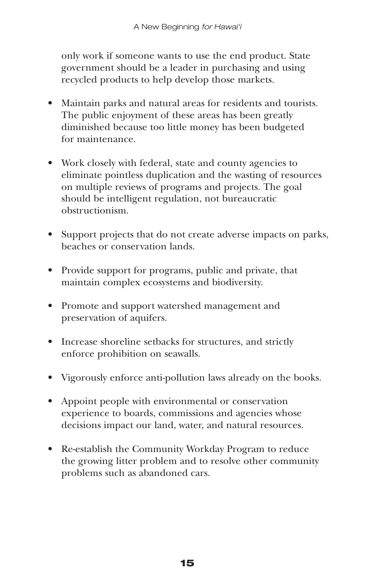only work if someone wants to use the end product. State government should be a leader in purchasing and using recycled products to help develop those markets.

- Maintain parks and natural areas for residents and tourists. The public enjoyment of these areas has been greatly diminished because too little money has been budgeted for maintenance.
- Work closely with federal, state and county agencies to eliminate pointless duplication and the wasting of resources on multiple reviews of programs and projects. The goal should be intelligent regulation, not bureaucratic obstructionism.
- Support projects that do not create adverse impacts on parks, beaches or conservation lands.
- Provide support for programs, public and private, that maintain complex ecosystems and biodiversity.
- Promote and support watershed management and preservation of aquifers.
- Increase shoreline setbacks for structures, and strictly enforce prohibition on seawalls.
- Vigorously enforce anti-pollution laws already on the books.
- Appoint people with environmental or conservation experience to boards, commissions and agencies whose decisions impact our land, water, and natural resources.
- Re-establish the Community Workday Program to reduce the growing litter problem and to resolve other community problems such as abandoned cars.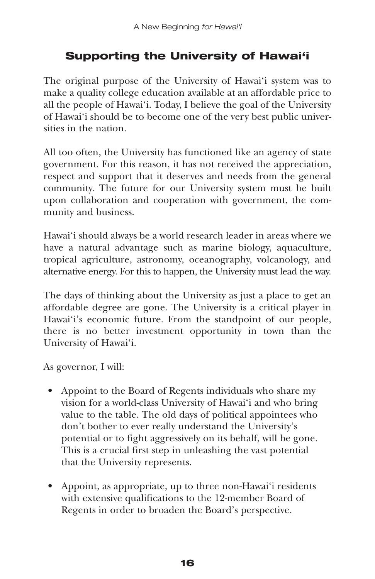# **Supporting the University of Hawai'i**

The original purpose of the University of Hawai'i system was to make a quality college education available at an affordable price to all the people of Hawai'i. Today, I believe the goal of the University of Hawai'i should be to become one of the very best public universities in the nation.

All too often, the University has functioned like an agency of state government. For this reason, it has not received the appreciation, respect and support that it deserves and needs from the general community. The future for our University system must be built upon collaboration and cooperation with government, the community and business.

Hawai'i should always be a world research leader in areas where we have a natural advantage such as marine biology, aquaculture, tropical agriculture, astronomy, oceanography, volcanology, and alternative energy. For this to happen, the University must lead the way.

The days of thinking about the University as just a place to get an affordable degree are gone. The University is a critical player in Hawai'i's economic future. From the standpoint of our people, there is no better investment opportunity in town than the University of Hawai'i.

As governor, I will:

- Appoint to the Board of Regents individuals who share my vision for a world-class University of Hawai'i and who bring value to the table. The old days of political appointees who don't bother to ever really understand the University's potential or to fight aggressively on its behalf, will be gone. This is a crucial first step in unleashing the vast potential that the University represents.
- Appoint, as appropriate, up to three non-Hawai'i residents with extensive qualifications to the 12-member Board of Regents in order to broaden the Board's perspective.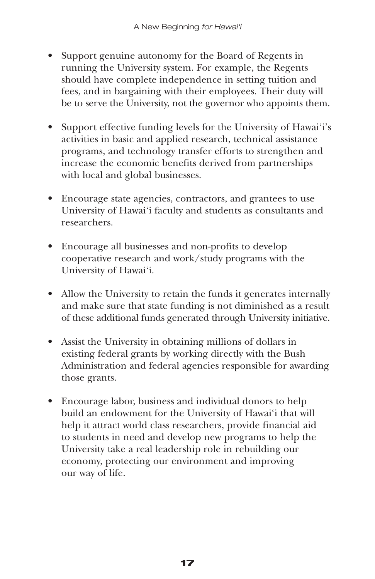- Support genuine autonomy for the Board of Regents in running the University system. For example, the Regents should have complete independence in setting tuition and fees, and in bargaining with their employees. Their duty will be to serve the University, not the governor who appoints them.
- Support effective funding levels for the University of Hawai'i's activities in basic and applied research, technical assistance programs, and technology transfer efforts to strengthen and increase the economic benefits derived from partnerships with local and global businesses.
- Encourage state agencies, contractors, and grantees to use University of Hawai'i faculty and students as consultants and researchers.
- Encourage all businesses and non-profits to develop cooperative research and work/study programs with the University of Hawai'i.
- Allow the University to retain the funds it generates internally and make sure that state funding is not diminished as a result of these additional funds generated through University initiative.
- Assist the University in obtaining millions of dollars in existing federal grants by working directly with the Bush Administration and federal agencies responsible for awarding those grants.
- Encourage labor, business and individual donors to help build an endowment for the University of Hawai'i that will help it attract world class researchers, provide financial aid to students in need and develop new programs to help the University take a real leadership role in rebuilding our economy, protecting our environment and improving our way of life.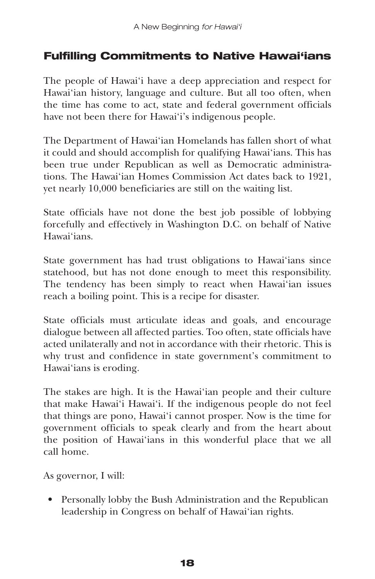# **Fulfilling Commitments to Native Hawai'ians**

The people of Hawai'i have a deep appreciation and respect for Hawai'ian history, language and culture. But all too often, when the time has come to act, state and federal government officials have not been there for Hawai'i's indigenous people.

The Department of Hawai'ian Homelands has fallen short of what it could and should accomplish for qualifying Hawai'ians. This has been true under Republican as well as Democratic administrations. The Hawai'ian Homes Commission Act dates back to 1921, yet nearly 10,000 beneficiaries are still on the waiting list.

State officials have not done the best job possible of lobbying forcefully and effectively in Washington D.C. on behalf of Native Hawai'ians.

State government has had trust obligations to Hawai'ians since statehood, but has not done enough to meet this responsibility. The tendency has been simply to react when Hawai'ian issues reach a boiling point. This is a recipe for disaster.

State officials must articulate ideas and goals, and encourage dialogue between all affected parties. Too often, state officials have acted unilaterally and not in accordance with their rhetoric. This is why trust and confidence in state government's commitment to Hawai'ians is eroding.

The stakes are high. It is the Hawai'ian people and their culture that make Hawai'i Hawai'i. If the indigenous people do not feel that things are pono, Hawai'i cannot prosper. Now is the time for government officials to speak clearly and from the heart about the position of Hawai'ians in this wonderful place that we all call home.

As governor, I will:

• Personally lobby the Bush Administration and the Republican leadership in Congress on behalf of Hawai'ian rights.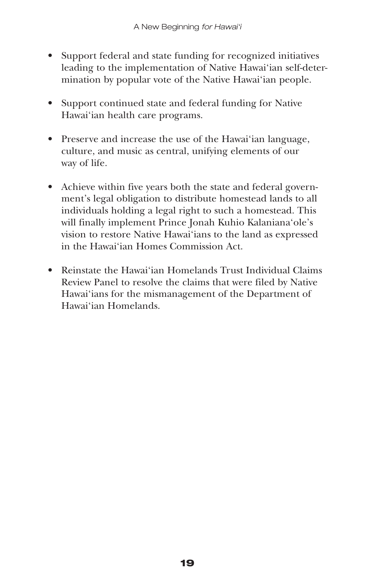- Support federal and state funding for recognized initiatives leading to the implementation of Native Hawai'ian self-determination by popular vote of the Native Hawai'ian people.
- Support continued state and federal funding for Native Hawai'ian health care programs.
- Preserve and increase the use of the Hawai'ian language, culture, and music as central, unifying elements of our way of life.
- Achieve within five years both the state and federal government's legal obligation to distribute homestead lands to all individuals holding a legal right to such a homestead. This will finally implement Prince Jonah Kuhio Kalaniana'ole's vision to restore Native Hawai'ians to the land as expressed in the Hawai'ian Homes Commission Act.
- Reinstate the Hawai'ian Homelands Trust Individual Claims Review Panel to resolve the claims that were filed by Native Hawai'ians for the mismanagement of the Department of Hawai'ian Homelands.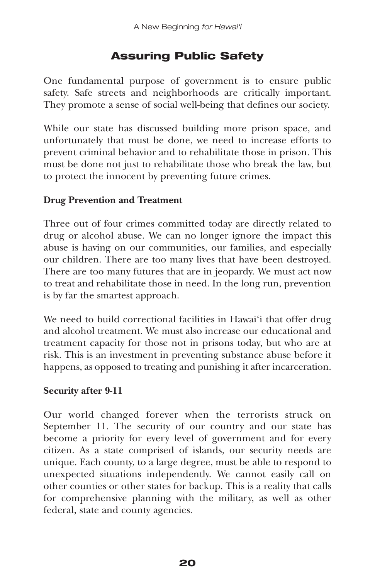# **Assuring Public Safety**

One fundamental purpose of government is to ensure public safety. Safe streets and neighborhoods are critically important. They promote a sense of social well-being that defines our society.

While our state has discussed building more prison space, and unfortunately that must be done, we need to increase efforts to prevent criminal behavior and to rehabilitate those in prison. This must be done not just to rehabilitate those who break the law, but to protect the innocent by preventing future crimes.

## **Drug Prevention and Treatment**

Three out of four crimes committed today are directly related to drug or alcohol abuse. We can no longer ignore the impact this abuse is having on our communities, our families, and especially our children. There are too many lives that have been destroyed. There are too many futures that are in jeopardy. We must act now to treat and rehabilitate those in need. In the long run, prevention is by far the smartest approach.

We need to build correctional facilities in Hawai'i that offer drug and alcohol treatment. We must also increase our educational and treatment capacity for those not in prisons today, but who are at risk. This is an investment in preventing substance abuse before it happens, as opposed to treating and punishing it after incarceration.

## **Security after 9-11**

Our world changed forever when the terrorists struck on September 11. The security of our country and our state has become a priority for every level of government and for every citizen. As a state comprised of islands, our security needs are unique. Each county, to a large degree, must be able to respond to unexpected situations independently. We cannot easily call on other counties or other states for backup. This is a reality that calls for comprehensive planning with the military, as well as other federal, state and county agencies.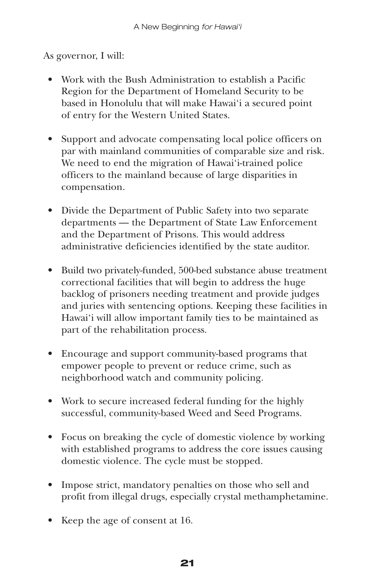As governor, I will:

- Work with the Bush Administration to establish a Pacific Region for the Department of Homeland Security to be based in Honolulu that will make Hawai'i a secured point of entry for the Western United States.
- Support and advocate compensating local police officers on par with mainland communities of comparable size and risk. We need to end the migration of Hawai'i-trained police officers to the mainland because of large disparities in compensation.
- Divide the Department of Public Safety into two separate departments — the Department of State Law Enforcement and the Department of Prisons. This would address administrative deficiencies identified by the state auditor.
- Build two privately-funded, 500-bed substance abuse treatment correctional facilities that will begin to address the huge backlog of prisoners needing treatment and provide judges and juries with sentencing options. Keeping these facilities in Hawai'i will allow important family ties to be maintained as part of the rehabilitation process.
- Encourage and support community-based programs that empower people to prevent or reduce crime, such as neighborhood watch and community policing.
- Work to secure increased federal funding for the highly successful, community-based Weed and Seed Programs.
- Focus on breaking the cycle of domestic violence by working with established programs to address the core issues causing domestic violence. The cycle must be stopped.
- Impose strict, mandatory penalties on those who sell and profit from illegal drugs, especially crystal methamphetamine.
- Keep the age of consent at 16.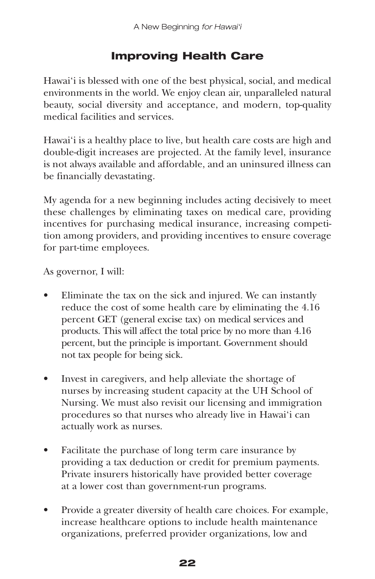# **Improving Health Care**

Hawai'i is blessed with one of the best physical, social, and medical environments in the world. We enjoy clean air, unparalleled natural beauty, social diversity and acceptance, and modern, top-quality medical facilities and services.

Hawai'i is a healthy place to live, but health care costs are high and double-digit increases are projected. At the family level, insurance is not always available and affordable, and an uninsured illness can be financially devastating.

My agenda for a new beginning includes acting decisively to meet these challenges by eliminating taxes on medical care, providing incentives for purchasing medical insurance, increasing competition among providers, and providing incentives to ensure coverage for part-time employees.

As governor, I will:

- Eliminate the tax on the sick and injured. We can instantly reduce the cost of some health care by eliminating the 4.16 percent GET (general excise tax) on medical services and products. This will affect the total price by no more than 4.16 percent, but the principle is important. Government should not tax people for being sick.
- Invest in caregivers, and help alleviate the shortage of nurses by increasing student capacity at the UH School of Nursing. We must also revisit our licensing and immigration procedures so that nurses who already live in Hawai'i can actually work as nurses.
- Facilitate the purchase of long term care insurance by providing a tax deduction or credit for premium payments. Private insurers historically have provided better coverage at a lower cost than government-run programs.
- Provide a greater diversity of health care choices. For example, increase healthcare options to include health maintenance organizations, preferred provider organizations, low and

#### **22**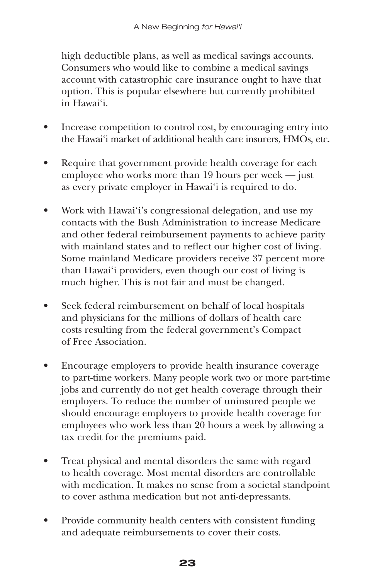high deductible plans, as well as medical savings accounts. Consumers who would like to combine a medical savings account with catastrophic care insurance ought to have that option. This is popular elsewhere but currently prohibited in Hawai'i.

- Increase competition to control cost, by encouraging entry into the Hawai'i market of additional health care insurers, HMOs, etc.
- Require that government provide health coverage for each employee who works more than 19 hours per week — just as every private employer in Hawai'i is required to do.
- Work with Hawai'i's congressional delegation, and use my contacts with the Bush Administration to increase Medicare and other federal reimbursement payments to achieve parity with mainland states and to reflect our higher cost of living. Some mainland Medicare providers receive 37 percent more than Hawai'i providers, even though our cost of living is much higher. This is not fair and must be changed.
- Seek federal reimbursement on behalf of local hospitals and physicians for the millions of dollars of health care costs resulting from the federal government's Compact of Free Association.
- Encourage employers to provide health insurance coverage to part-time workers. Many people work two or more part-time jobs and currently do not get health coverage through their employers. To reduce the number of uninsured people we should encourage employers to provide health coverage for employees who work less than 20 hours a week by allowing a tax credit for the premiums paid.
- Treat physical and mental disorders the same with regard to health coverage. Most mental disorders are controllable with medication. It makes no sense from a societal standpoint to cover asthma medication but not anti-depressants.
- Provide community health centers with consistent funding and adequate reimbursements to cover their costs.

#### **23**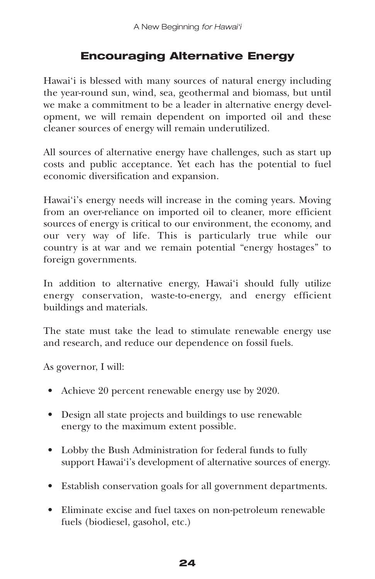# **Encouraging Alternative Energy**

Hawai'i is blessed with many sources of natural energy including the year-round sun, wind, sea, geothermal and biomass, but until we make a commitment to be a leader in alternative energy development, we will remain dependent on imported oil and these cleaner sources of energy will remain underutilized.

All sources of alternative energy have challenges, such as start up costs and public acceptance. Yet each has the potential to fuel economic diversification and expansion.

Hawai'i's energy needs will increase in the coming years. Moving from an over-reliance on imported oil to cleaner, more efficient sources of energy is critical to our environment, the economy, and our very way of life. This is particularly true while our country is at war and we remain potential "energy hostages" to foreign governments.

In addition to alternative energy, Hawai'i should fully utilize energy conservation, waste-to-energy, and energy efficient buildings and materials.

The state must take the lead to stimulate renewable energy use and research, and reduce our dependence on fossil fuels.

As governor, I will:

- Achieve 20 percent renewable energy use by 2020.
- Design all state projects and buildings to use renewable energy to the maximum extent possible.
- Lobby the Bush Administration for federal funds to fully support Hawai'i's development of alternative sources of energy.
- Establish conservation goals for all government departments.
- Eliminate excise and fuel taxes on non-petroleum renewable fuels (biodiesel, gasohol, etc.)

#### **24**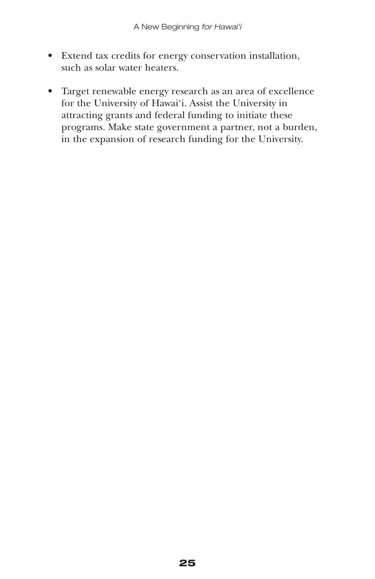- Extend tax credits for energy conservation installation, such as solar water heaters.
- Target renewable energy research as an area of excellence for the University of Hawai'i. Assist the University in attracting grants and federal funding to initiate these programs. Make state government a partner, not a burden, in the expansion of research funding for the University.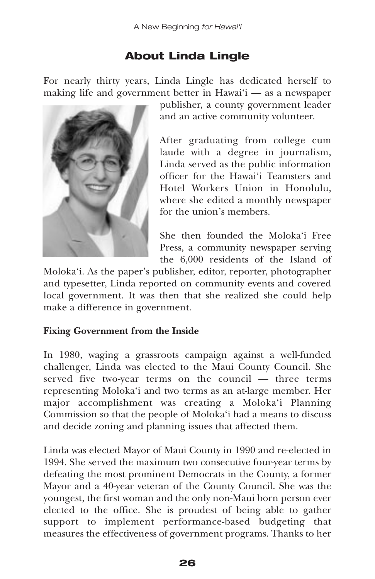# **About Linda Lingle**

For nearly thirty years, Linda Lingle has dedicated herself to making life and government better in Hawai'i — as a newspaper



publisher, a county government leader and an active community volunteer.

After graduating from college cum laude with a degree in journalism, Linda served as the public information officer for the Hawai'i Teamsters and Hotel Workers Union in Honolulu, where she edited a monthly newspaper for the union's members.

She then founded the Moloka'i Free Press, a community newspaper serving the 6,000 residents of the Island of

Moloka'i. As the paper's publisher, editor, reporter, photographer and typesetter, Linda reported on community events and covered local government. It was then that she realized she could help make a difference in government.

#### **Fixing Government from the Inside**

In 1980, waging a grassroots campaign against a well-funded challenger, Linda was elected to the Maui County Council. She served five two-year terms on the council — three terms representing Moloka'i and two terms as an at-large member. Her major accomplishment was creating a Moloka'i Planning Commission so that the people of Moloka'i had a means to discuss and decide zoning and planning issues that affected them.

Linda was elected Mayor of Maui County in 1990 and re-elected in 1994. She served the maximum two consecutive four-year terms by defeating the most prominent Democrats in the County, a former Mayor and a 40-year veteran of the County Council. She was the youngest, the first woman and the only non-Maui born person ever elected to the office. She is proudest of being able to gather support to implement performance-based budgeting that measures the effectiveness of government programs. Thanks to her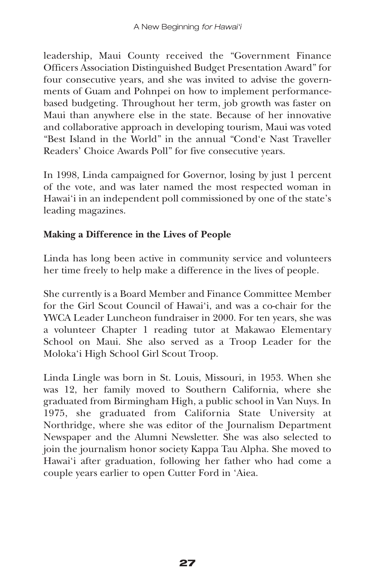leadership, Maui County received the "Government Finance Officers Association Distinguished Budget Presentation Award" for four consecutive years, and she was invited to advise the governments of Guam and Pohnpei on how to implement performancebased budgeting. Throughout her term, job growth was faster on Maui than anywhere else in the state. Because of her innovative and collaborative approach in developing tourism, Maui was voted "Best Island in the World" in the annual "Cond'e Nast Traveller Readers' Choice Awards Poll" for five consecutive years.

In 1998, Linda campaigned for Governor, losing by just 1 percent of the vote, and was later named the most respected woman in Hawai'i in an independent poll commissioned by one of the state's leading magazines.

## **Making a Difference in the Lives of People**

Linda has long been active in community service and volunteers her time freely to help make a difference in the lives of people.

She currently is a Board Member and Finance Committee Member for the Girl Scout Council of Hawai'i, and was a co-chair for the YWCA Leader Luncheon fundraiser in 2000. For ten years, she was a volunteer Chapter 1 reading tutor at Makawao Elementary School on Maui. She also served as a Troop Leader for the Moloka'i High School Girl Scout Troop.

Linda Lingle was born in St. Louis, Missouri, in 1953. When she was 12, her family moved to Southern California, where she graduated from Birmingham High, a public school in Van Nuys. In 1975, she graduated from California State University at Northridge, where she was editor of the Journalism Department Newspaper and the Alumni Newsletter. She was also selected to join the journalism honor society Kappa Tau Alpha. She moved to Hawai'i after graduation, following her father who had come a couple years earlier to open Cutter Ford in 'Aiea.